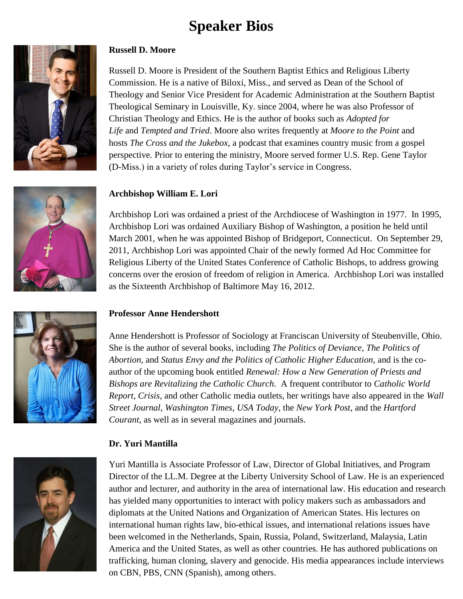# **Speaker Bios**



# **Russell D. Moore**

Russell D. Moore is President of the Southern Baptist Ethics and Religious Liberty Commission. He is a native of Biloxi, Miss., and served as Dean of the School of Theology and Senior Vice President for Academic Administration at the Southern Baptist Theological Seminary in Louisville, Ky. since 2004, where he was also Professor of Christian Theology and Ethics. He is the author of books such as *Adopted for Life* and *Tempted and Tried*. Moore also writes frequently at *Moore to the Point* and hosts *The Cross and the Jukebox*, a podcast that examines country music from a gospel perspective. Prior to entering the ministry, Moore served former U.S. Rep. Gene Taylor (D-Miss.) in a variety of roles during Taylor's service in Congress.

# **Archbishop William E. Lori**

Archbishop Lori was ordained a priest of the Archdiocese of Washington in 1977. In 1995, Archbishop Lori was ordained Auxiliary Bishop of Washington, a position he held until March 2001, when he was appointed Bishop of Bridgeport, Connecticut. On September 29, 2011, Archbishop Lori was appointed Chair of the newly formed Ad Hoc Committee for Religious Liberty of the United States Conference of Catholic Bishops, to address growing concerns over the erosion of freedom of religion in America. Archbishop Lori was installed as the Sixteenth Archbishop of Baltimore May 16, 2012.

# **Professor Anne Hendershott**

Anne Hendershott is Professor of Sociology at Franciscan University of Steubenville, Ohio. She is the author of several books, including *The Politics of Deviance*, *The Politics of Abortion*, and *Status Envy and the Politics of Catholic Higher Education*, and is the coauthor of the upcoming book entitled *Renewal: How a New Generation of Priests and Bishops are Revitalizing the Catholic Church*. A frequent contributor to *Catholic World Report*, *Crisis*, and other Catholic media outlets, her writings have also appeared in the *Wall Street Journal*, *Washington Times*, *USA Today*, the *New York Post*, and the *Hartford Courant*, as well as in several magazines and journals.

# **Dr. Yuri Mantilla**



Yuri Mantilla is Associate Professor of Law, Director of Global Initiatives, and Program Director of the LL.M. Degree at the Liberty University School of Law. He is an experienced author and lecturer, and authority in the area of international law. His education and research has yielded many opportunities to interact with policy makers such as ambassadors and diplomats at the United Nations and Organization of American States. His lectures on international human rights law, bio-ethical issues, and international relations issues have been welcomed in the Netherlands, Spain, Russia, Poland, Switzerland, Malaysia, Latin America and the United States, as well as other countries. He has authored publications on trafficking, human cloning, slavery and genocide. His media appearances include interviews on CBN, PBS, CNN (Spanish), among others.